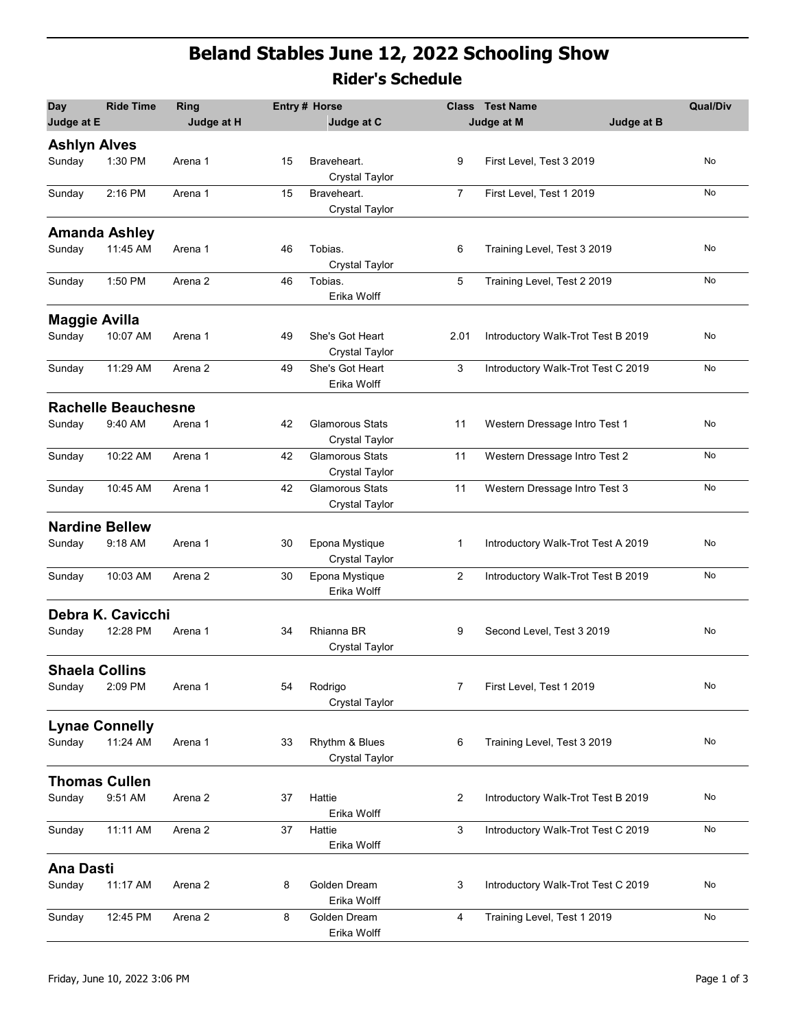## Beland Stables June 12, 2022 Schooling Show Rider's Schedule

|                               |                            |                    |    | <b>Rider's Schedule</b>                         |                |                                              |                 |
|-------------------------------|----------------------------|--------------------|----|-------------------------------------------------|----------------|----------------------------------------------|-----------------|
| <b>Day</b><br>Judge at E      | <b>Ride Time</b>           | Ring<br>Judge at H |    | <b>Entry # Horse</b><br>Judge at C              | <b>Class</b>   | <b>Test Name</b><br>Judge at B<br>Judge at M | <b>Qual/Div</b> |
| <b>Ashlyn Alves</b><br>Sunday | 1:30 PM                    | Arena 1            | 15 | Braveheart.                                     | 9              | First Level, Test 3 2019                     | No              |
|                               |                            |                    |    | <b>Crystal Taylor</b>                           |                |                                              |                 |
| Sunday                        | 2:16 PM                    | Arena 1            | 15 | Braveheart.<br><b>Crystal Taylor</b>            | $\overline{7}$ | First Level, Test 1 2019                     | No              |
|                               | <b>Amanda Ashley</b>       |                    |    |                                                 |                |                                              |                 |
| Sunday                        | 11:45 AM                   | Arena 1            | 46 | Tobias.<br><b>Crystal Taylor</b>                | 6              | Training Level, Test 3 2019                  | No              |
| Sunday                        | 1:50 PM                    | Arena 2            | 46 | Tobias.<br>Erika Wolff                          | 5              | Training Level, Test 2 2019                  | No              |
| <b>Maggie Avilla</b>          |                            |                    |    |                                                 |                |                                              |                 |
| Sunday                        | 10:07 AM                   | Arena 1            | 49 | She's Got Heart<br><b>Crystal Taylor</b>        | 2.01           | Introductory Walk-Trot Test B 2019           | No              |
| Sunday                        | 11:29 AM                   | Arena 2            | 49 | She's Got Heart<br>Erika Wolff                  | 3              | Introductory Walk-Trot Test C 2019           | No              |
|                               | <b>Rachelle Beauchesne</b> |                    |    |                                                 |                |                                              |                 |
| Sunday                        | 9:40 AM                    | Arena 1            | 42 | <b>Glamorous Stats</b><br><b>Crystal Taylor</b> | 11             | Western Dressage Intro Test 1                | No              |
| Sunday                        | 10:22 AM                   | Arena 1            | 42 | Glamorous Stats<br><b>Crystal Taylor</b>        | 11             | Western Dressage Intro Test 2                | No              |
| Sunday                        | 10:45 AM                   | Arena 1            | 42 | Glamorous Stats<br><b>Crystal Taylor</b>        | 11             | Western Dressage Intro Test 3                | No              |
|                               | <b>Nardine Bellew</b>      |                    |    |                                                 |                |                                              |                 |
| Sunday                        | 9:18 AM                    | Arena 1            | 30 | Epona Mystique<br>Crystal Taylor                | 1              | Introductory Walk-Trot Test A 2019           | No              |
| Sunday                        | 10:03 AM                   | Arena 2            | 30 | Epona Mystique<br>Erika Wolff                   | $\overline{c}$ | Introductory Walk-Trot Test B 2019           | No              |
|                               | Debra K. Cavicchi          |                    |    |                                                 |                |                                              |                 |
| Sunday                        | 12:28 PM                   | Arena 1            | 34 | Rhianna BR<br><b>Crystal Taylor</b>             | 9              | Second Level, Test 3 2019                    | No              |
|                               | <b>Shaela Collins</b>      |                    |    |                                                 |                |                                              |                 |
| Sunday                        | 2:09 PM                    | Arena 1            | 54 | Rodrigo<br><b>Crystal Taylor</b>                | 7              | First Level, Test 1 2019                     | No              |
|                               | <b>Lynae Connelly</b>      |                    |    |                                                 |                |                                              |                 |
| Sunday                        | 11:24 AM                   | Arena 1            | 33 | Rhythm & Blues<br>Crystal Taylor                | 6              | Training Level, Test 3 2019                  | No              |
|                               | <b>Thomas Cullen</b>       |                    |    |                                                 |                |                                              |                 |
| Sunday                        | 9:51 AM                    | Arena 2            | 37 | Hattie<br>Erika Wolff                           | $\overline{2}$ | Introductory Walk-Trot Test B 2019           | No              |
| Sunday                        | 11:11 AM                   | Arena 2            | 37 | Hattie<br>Erika Wolff                           | 3              | Introductory Walk-Trot Test C 2019           | ${\sf No}$      |
| <b>Ana Dasti</b>              |                            |                    |    |                                                 |                |                                              |                 |
| Sunday                        | 11:17 AM                   | Arena 2            | 8  | Golden Dream<br>Erika Wolff                     | 3              | Introductory Walk-Trot Test C 2019           | No              |
| Sunday                        | 12:45 PM                   | Arena 2            | 8  | Golden Dream<br>Erika Wolff                     | 4              | Training Level, Test 1 2019                  | No              |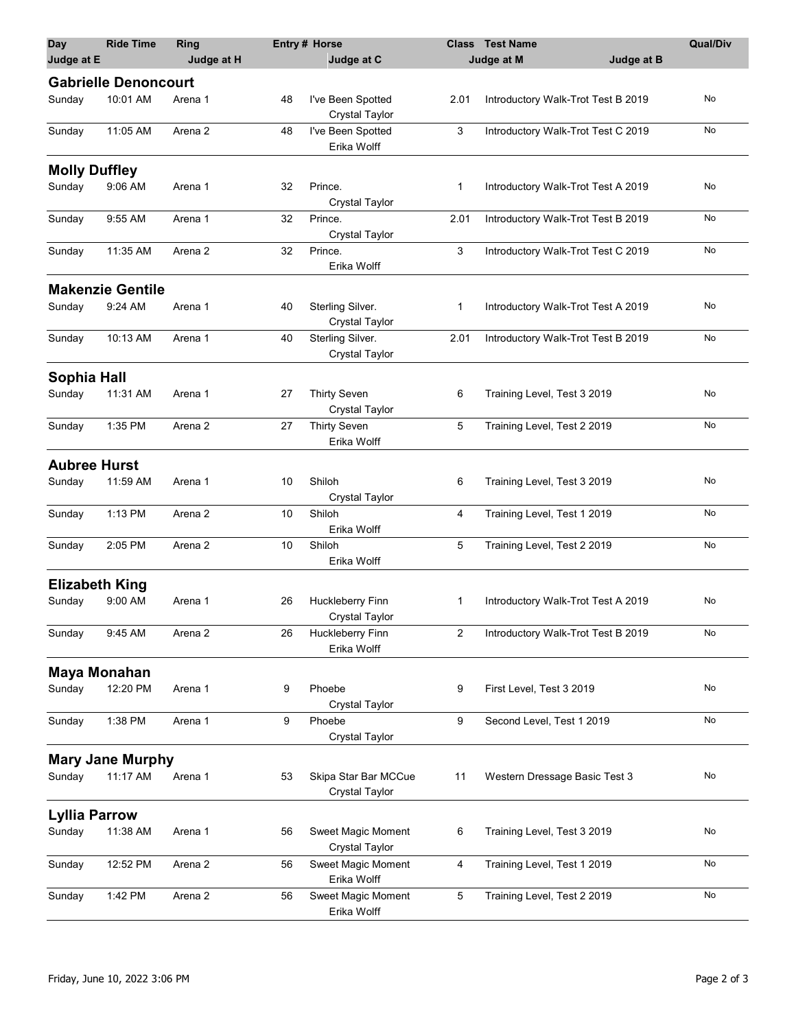| <b>Day</b><br>Judge at E | <b>Ride Time</b>            | Ring<br>Judge at H |    | <b>Entry# Horse</b><br>Judge at C             |                | Class Test Name<br>Judge at M      | Judge at B | <b>Qual/Div</b> |
|--------------------------|-----------------------------|--------------------|----|-----------------------------------------------|----------------|------------------------------------|------------|-----------------|
|                          | <b>Gabrielle Denoncourt</b> |                    |    |                                               |                |                                    |            |                 |
| Sunday                   | 10:01 AM                    | Arena 1            | 48 | I've Been Spotted<br>Crystal Taylor           | 2.01           | Introductory Walk-Trot Test B 2019 |            | No              |
| Sunday                   | 11:05 AM                    | Arena 2            | 48 | I've Been Spotted<br>Erika Wolff              | 3              | Introductory Walk-Trot Test C 2019 |            | No              |
| <b>Molly Duffley</b>     |                             |                    |    |                                               |                |                                    |            |                 |
| Sunday                   | 9:06 AM                     | Arena 1            | 32 | Prince.<br><b>Crystal Taylor</b>              | $\mathbf{1}$   | Introductory Walk-Trot Test A 2019 |            | No              |
| Sunday                   | 9:55 AM                     | Arena 1            | 32 | Prince.<br>Crystal Taylor                     | 2.01           | Introductory Walk-Trot Test B 2019 |            | No              |
| Sunday                   | 11:35 AM                    | Arena 2            | 32 | Prince.<br>Erika Wolff                        | 3              | Introductory Walk-Trot Test C 2019 |            | No              |
|                          | <b>Makenzie Gentile</b>     |                    |    |                                               |                |                                    |            |                 |
| Sunday                   | 9:24 AM                     | Arena 1            | 40 | Sterling Silver.<br><b>Crystal Taylor</b>     | -1             | Introductory Walk-Trot Test A 2019 |            | No              |
| Sunday                   | 10:13 AM                    | Arena 1            | 40 | Sterling Silver.<br>Crystal Taylor            | 2.01           | Introductory Walk-Trot Test B 2019 |            | No              |
| Sophia Hall              |                             |                    |    |                                               |                |                                    |            |                 |
| Sunday                   | 11:31 AM                    | Arena 1            | 27 | <b>Thirty Seven</b><br><b>Crystal Taylor</b>  | 6              | Training Level, Test 3 2019        |            | No              |
| Sunday                   | 1:35 PM                     | Arena 2            | 27 | <b>Thirty Seven</b><br>Erika Wolff            | $\sqrt{5}$     | Training Level, Test 2 2019        |            | No              |
| <b>Aubree Hurst</b>      |                             |                    |    |                                               |                |                                    |            |                 |
| Sunday                   | 11:59 AM                    | Arena 1            | 10 | Shiloh<br><b>Crystal Taylor</b>               | 6              | Training Level, Test 3 2019        |            | No              |
| Sunday                   | 1:13 PM                     | Arena 2            | 10 | Shiloh<br>Erika Wolff                         | 4              | Training Level, Test 1 2019        |            | No              |
| Sunday                   | 2:05 PM                     | Arena 2            | 10 | Shiloh<br>Erika Wolff                         | 5              | Training Level, Test 2 2019        |            | No              |
| <b>Elizabeth King</b>    |                             |                    |    |                                               |                |                                    |            |                 |
| Sunday                   | 9:00 AM                     | Arena 1            | 26 | Huckleberry Finn<br>Crystal Taylor            | $\mathbf 1$    | Introductory Walk-Trot Test A 2019 |            | No              |
| Sunday                   | 9:45 AM                     | Arena 2            | 26 | Huckleberry Finn<br>Erika Wolff               | $\overline{2}$ | Introductory Walk-Trot Test B 2019 |            | No              |
| <b>Maya Monahan</b>      |                             |                    |    |                                               |                |                                    |            |                 |
| Sunday                   | 12:20 PM                    | Arena 1            | 9  | Phoebe<br>Crystal Taylor                      | 9              | First Level, Test 3 2019           |            | No              |
| Sunday                   | 1:38 PM                     | Arena 1            | 9  | Phoebe<br>Crystal Taylor                      | 9              | Second Level, Test 1 2019          |            | No              |
|                          | <b>Mary Jane Murphy</b>     |                    |    |                                               |                |                                    |            |                 |
| Sunday                   | 11:17 AM                    | Arena 1            | 53 | Skipa Star Bar MCCue<br><b>Crystal Taylor</b> | 11             | Western Dressage Basic Test 3      |            | No              |
| <b>Lyllia Parrow</b>     |                             |                    |    |                                               |                |                                    |            |                 |
| Sunday                   | 11:38 AM                    | Arena 1            | 56 | Sweet Magic Moment<br><b>Crystal Taylor</b>   | 6              | Training Level, Test 3 2019        |            | No              |
| Sunday                   | 12:52 PM                    | Arena 2            | 56 | Sweet Magic Moment<br>Erika Wolff             | 4              | Training Level, Test 1 2019        |            | No              |
| Sunday                   | 1:42 PM                     | Arena 2            | 56 | Sweet Magic Moment<br>Erika Wolff             | 5              | Training Level, Test 2 2019        |            | No              |